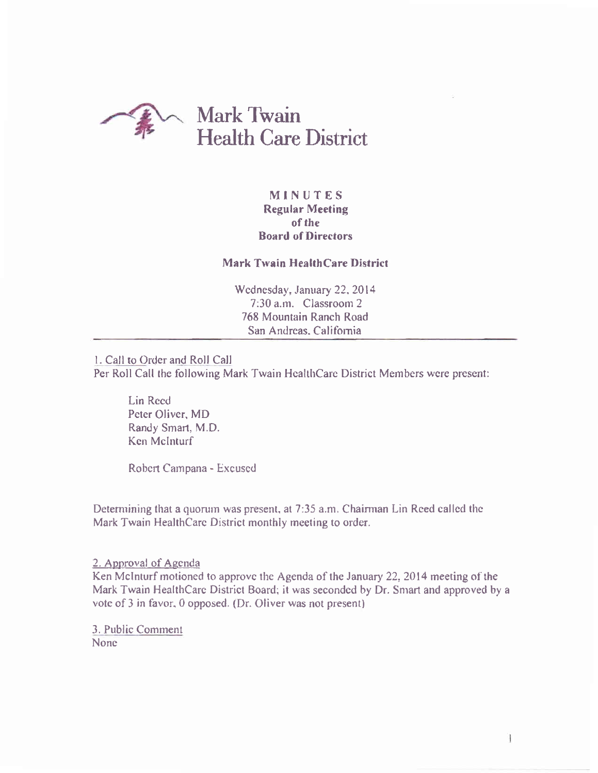

# MINUTES Regular Meeting of the Board of Directors

### Mark Twain HealthCare District

Wednesday, January 22, 2014 7:30 a.m. Classroom 2 768 Mountain Ranch Roacl San Andreas. California

l. Call to Order and Roll Call Per Roll Call the following Mark Twain HealthCare District Members were present:

Lin Rced Peter Oliver. MD Randy Smart, M.D. Ken Mclnturf

Robcrt Carnpana - Excuscd

Determining that a quorum was present, at 7:35 a.m. Chairman Lin Reed called the Mark Twain HealthCarc District monthly meeting to order.

2. Approval of Agenda

Ken McInturf motioned to approve the Agenda of the January 22, 2014 meeting of the Mark Twain HealthCare District Board; it was seconded by Dr. Smart and approved by a vote of 3 in favor, 0 opposed. (Dr. Oliver was not present)

3. Public Comment Nonc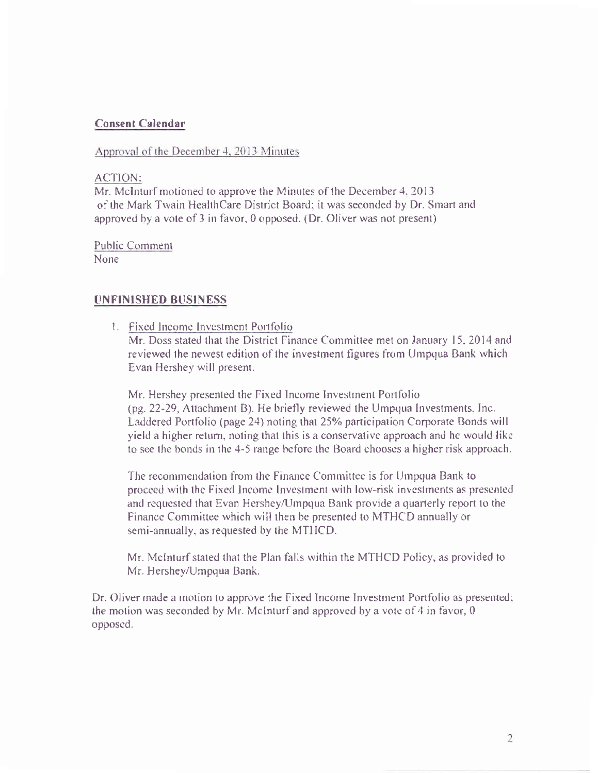## **Consent Calendar**

Approval of the December 4, 2013 Minutes

### ACTION:

Mr. McInturf motioned to approve the Minutes of the December 4, 2013 of the Mark Twain HealthCare District Board; it was seconded by Dr. Smart and approved by a vote of 3 in favor, 0 opposed. (Dr. Oliver was not present)

### **Public Comment** None

# UNFINISHED BUSINESS

1. Fixed Income Investment Portfolio

Mr. Doss stated that the District Finance Committee met on January 15, 2014 and reviewed the newest edition of the investment figures from Umpqua Bank which Evan Hershey will present.

Mr. Hershey presented the Fixed Income Investment Portfolio (pg. 22-29, Attachment B). He briefly reviewed the Umpqua Investments, Inc. Laddered Portfolio (page 24) noting that 25% participation Corporate Bonds will yield a higher return, noting that this is a conservative approach and he would like to see the bonds in the 4-5 range before the Board chooses a higher risk approach.

The recommendation from the Finance Committee is for Umpqua Bank to proceed with the Fixed Income Investment with low-risk investments as presented and requested that Evan Hershey/Umpqua Bank provide a quarterly report to the Finance Committee which will then be presented to MTHCD annually or semi-annually, as requested by the MTHCD.

Mr. MeInturf stated that the Plan falls within the MTHCD Policy, as provided to Mr. Hershey/Umpqua Bank.

Dr. Oliver made a motion to approve the Fixed Income Investment Portfolio as presented; the motion was seconded by Mr. McInturf and approved by a vote of  $4$  in favor,  $0$ opposed.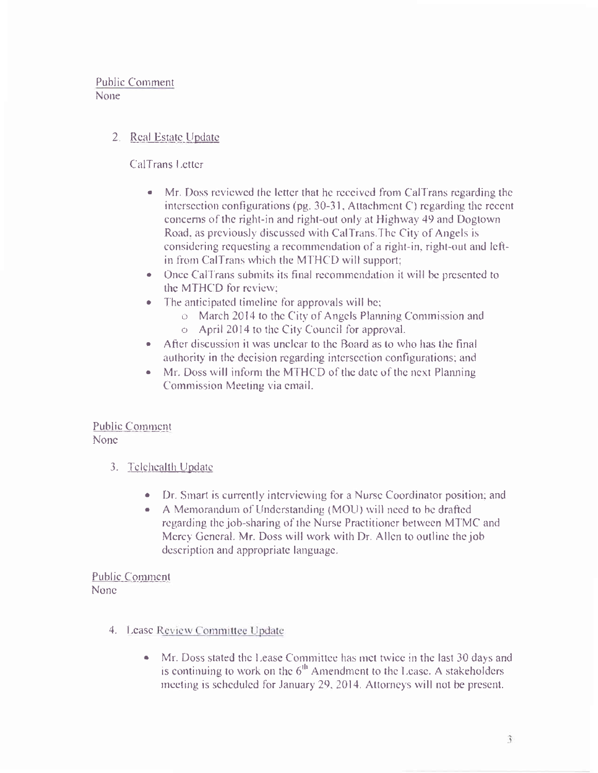Public Comment None

# 2. Real Estate Update

CalTrans Letter

- Mr. Doss reviewed the letter that he received from CalTrans regarding the  $\bullet$ intersection configurations (pg.  $30-31$ , Attachment C) regarding the recent concerns of the right-in and right-out only at Highway 49 and Dogtown Road, as previously discussed with CalTrans. The City of Angels is considering requesting a recommendation of a right-in, right-out and leftin from CalTrans which the MTHCD will support;
- Once CalTrans submits its final recommendation it will be presented to the MTHCD for review:
- The anticipated timeline for approvals will be;  $\bullet$ 
	- o March 2014 to the City of Angels Planning Commission and o April 2014 to the City Council for approval.
- After discussion it was unclear to the Board as to who has the final  $\bullet$ authority in the decision regarding intersection configurations; and
- Mr. Doss will inform the MTHCD of the date of the next Planning.  $\bullet$ Commission Meeting via email.

**Public Comment** None

- 3. Telehealth Update
	- Dr. Smart is currently interviewing for a Nurse Coordinator position; and
	- A Memorandum of Understanding (MOU) will need to be drafted  $\bullet$ regarding the job-sharing of the Nurse Practitioner between MTMC and Mercy General. Mr. Doss will work with Dr. Allen to outline the jobdescription and appropriate language.

**Public Comment None** 

- 4. Lease Review Committee Update
	- Mr. Doss stated the Lease Committee has met twice in the last 30 days and  $\bullet$ is continuing to work on the 6<sup>th</sup> Amendment to the Lease. A stakeholders meeting is scheduled for January 29, 2014. Attorneys will not be present.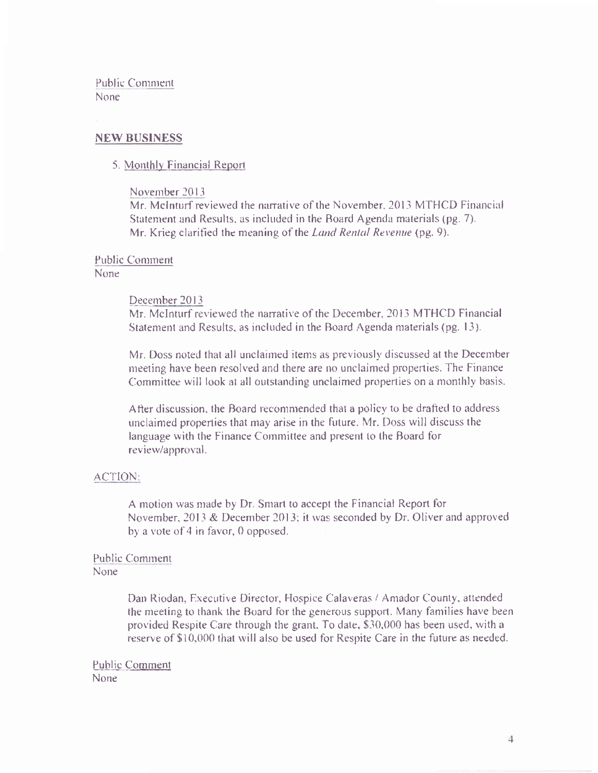Public Comment None

### **NEW BUSINESS**

#### 5. Monthly Financial Report

#### November 2013

Mr. MeInturf reviewed the narrative of the November, 2013 MTHCD Financial Statement and Results, as included in the Board Agenda materials (pg. 7). Mr. Krieg clarified the meaning of the *Land Rental Revenue* (pg. 9).

#### Public Comment None<sup>1</sup>

#### December 2013

Mr. McInturf reviewed the narrative of the December, 2013 MTHCD Financial Statement and Results, as included in the Board Agenda materials (pg. 13).

Mr. Doss noted that all unclaimed items as previously discussed at the December meeting have been resolved and there are no unclaimed properties. The Finance Committee will look at all outstanding unclaimed properties on a monthly basis.

After discussion, the Board recommended that a policy to be drafted to address unclaimed properties that may arise in the future. Mr. Doss will discuss the language with the Finance Committee and present to the Board for review/approval.

#### ACTION:

A motion was made by Dr. Smart to accept the Financial Report for November, 2013 & December 2013; it was seconded by Dr. Oliver and approved by a vote of 4 in favor, 0 opposed.

### **Public Comment None**

Dan Riodan, Executive Director, Hospice Calaveras / Amador County, attended the meeting to thank the Board for the generous support. Many families have been provided Respite Care through the grant. To date, \$30,000 has been used, with a reserve of \$10,000 that will also be used for Respite Care in the future as needed.

**Public Comment** None<sup>1</sup>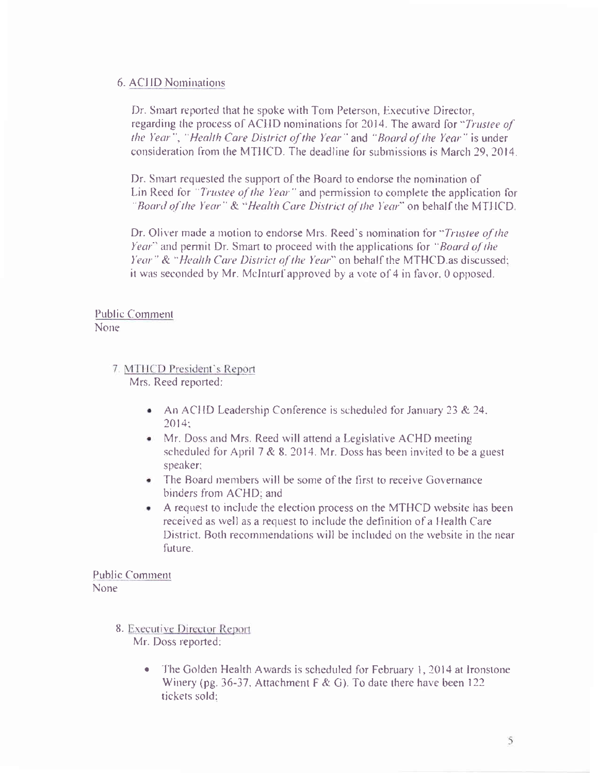## 6. ACHD Nominations

Dr. Smart reported that he spoke with Tom Peterson, Executive Director, regarding the process of ACHD nominations for 2014. The award for "Trustee of the Year", "Health Care District of the Year" and "Board of the Year" is under consideration from the MTHCD. The deadline for submissions is March 29, 2014.

Dr. Smart requested the support of the Board to endorse the nomination of Lin Reed for "Trustee of the Year" and permission to complete the application for "Board of the Year." & "Health Care District of the Year" on behalf the MTHCD.

Dr. Oliver made a motion to endorse Mrs. Reed's nomination for "Trustee of the Year" and permit Dr. Smart to proceed with the applications for "Board of the Year" & "Health Care District of the Year" on behalf the MTHCD as discussed; it was seconded by Mr. McInturf approved by a vote of 4 in favor, 0 opposed.

## **Public Comment** None.

- 7. MTHCD President's Report Mrs. Reed reported:
	- An ACHD Leadership Conference is scheduled for January 23 & 24.  $2014:$
	- Mr. Doss and Mrs. Reed will attend a Legislative ACHD meeting scheduled for April 7 & 8, 2014. Mr. Doss has been invited to be a guest speaker;
	- The Board members will be some of the first to receive Governance binders from ACHD; and
	- A request to include the election process on the MTHCD website has been received as well as a request to include the definition of a Health Care District. Both recommendations will be included on the website in the near future.

**Public Comment** None.

- 8. Executive Director Report Mr. Doss reported:
	- The Golden Health Awards is scheduled for February 1, 2014 at Ironstone Winery (pg. 36-37, Attachment  $F & G$ ). To date there have been 122 tickets sold: